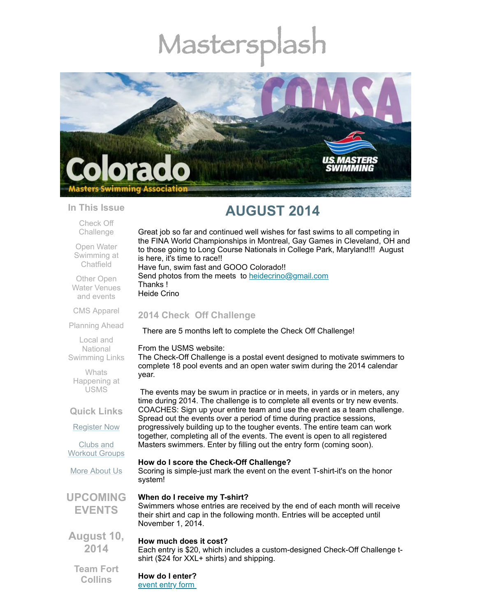# Mastersp



#### **In This Issue**

Check Off [Challenge](#page-0-0)

Open Water [Swimming](#page-1-0) at Chatfield

Other Open Water [Venues](#page-1-1) and events

CMS [Apparel](#page-1-2)

[Planning](#page-2-0) Ahead

Local and National [Swimming](#page-2-1) Links

**Whats** [Happening](#page-2-2) at USMS

**Quick Links**

[Register](http://comsa.org/joining/index.html) Now

Clubs and [Workout](http://comsa.org/clubs/index.html) Groups

More [About](http://comsa.org/) Us

**UPCOMING EVENTS**

**August 10, 2014**

#### **How much does it cost?**

Each entry is \$20, which includes a custom-designed Check-Off Challenge tshirt (\$24 for XXL+ shirts) and shipping.

**Team Fort Collins**

**How do I enter?**

[event](http://www.usms.org/fitness/2014checkoff.pdf) entry form

# **AUGUST 2014**

Great job so far and continued well wishes for fast swims to all competing in the FINA World Championships in Montreal, Gay Games in Cleveland, OH and to those going to Long Course Nationals in College Park, Maryland!!! August is here, it's time to race!! Have fun, swim fast and GOOO Colorado!! Send photos from the meets to [heidecrino@gmail.com](mailto:heidecrino@gamil.com) Thanks !

Heide Crino

# <span id="page-0-0"></span>**2014 Check Off Challenge**

There are 5 months left to complete the Check Off Challenge!

From the USMS website:

The Check-Off Challenge is a postal event designed to motivate swimmers to complete 18 pool events and an open water swim during the 2014 calendar year.

The events may be swum in practice or in meets, in yards or in meters, any time during 2014. The challenge is to complete all events or try new events. COACHES: Sign up your entire team and use the event as a team challenge. Spread out the events over a period of time during practice sessions, progressively building up to the tougher events. The entire team can work together, completing all of the events. The event is open to all registered Masters swimmers. Enter by filling out the entry form (coming soon).

#### **How do I score the Check-Off Challenge?**

Scoring is simple-just mark the event on the event T-shirt-it's on the honor system!

# **When do I receive my T-shirt?**

Swimmers whose entries are received by the end of each month will receive their shirt and cap in the following month. Entries will be accepted until November 1, 2014.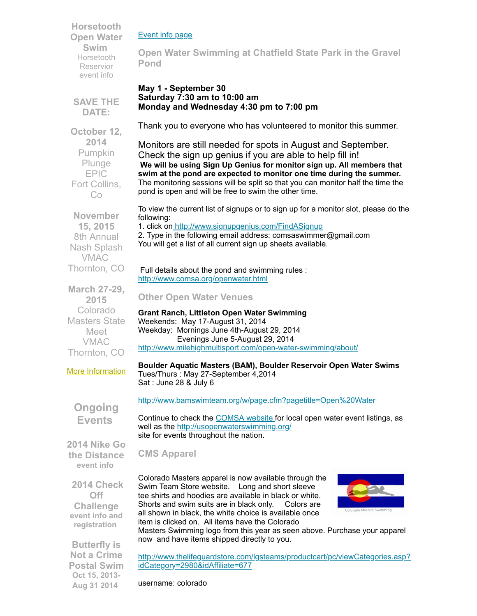**Horsetooth Open Water Swim** Horsetooth Reservior [event](http://www.horsetoothswim.com/) info

#### [Event](http://www.usms.org/fitness/content/checkoff) info page

<span id="page-1-0"></span>**Open Water Swimming at Chatfield State Park in the Gravel Pond**

#### **May 1 - September 30 Saturday 7:30 am to 10:00 am Monday and Wednesday 4:30 pm to 7:00 pm**

**SAVE THE DATE:**

**October 12, 2014** Pumpkin Plunge EPIC Fort Collins, Co

Thank you to everyone who has volunteered to monitor this summer.

Monitors are still needed for spots in August and September. Check the sign up genius if you are able to help fill in! **We will be using Sign Up Genius for monitor sign up. All members that swim at the pond are expected to monitor one time during the summer.** The monitoring sessions will be split so that you can monitor half the time the pond is open and will be free to swim the other time.

To view the current list of signups or to sign up for a monitor slot, please do the following:

1. click on <http://www.signupgenius.com/FindASignup>

2. Type in the following email address: comsaswimmer@gmail.com You will get a list of all current sign up sheets available.

#### Full details about the pond and swimming rules : <http://www.comsa.org/openwater.html>

# <span id="page-1-1"></span>**Other Open Water Venues**

**Grant Ranch, Littleton Open Water Swimming** Weekends: May 17-August 31, 2014 Weekday: Mornings June 4th-August 29, 2014 Evenings June 5-August 29, 2014 <http://www.milehighmultisport.com/open-water-swimming/about/>

#### **Boulder Aquatic Masters (BAM), Boulder Reservoir Open Water Swims**

Tues/Thurs : May 27-September 4,2014 Sat : June 28 & July 6

<http://www.bamswimteam.org/w/page.cfm?pagetitle=Open%20Water>

Continue to check the [COMSA](http://www.comsa.org/openwater.html) website for local open water event listings, as well as the [http://usopenwaterswimming.org/](http://usopenwaterswimming.org/%20) site for events throughout the nation.

#### <span id="page-1-2"></span>**CMS Apparel**

Colorado Masters apparel is now available through the Swim Team Store website. Long and short sleeve tee shirts and hoodies are available in black or white. Shorts and swim suits are in black only. Colors are all shown in black, the white choice is available once item is clicked on. All items have the Colorado



Masters Swimming logo from this year as seen above. Purchase your apparel now and have items shipped directly to you.

**Butterfly is Not a Crime Postal Swim Oct 15, 2013- Aug 31 2014**

[http://www.thelifeguardstore.com/lgsteams/productcart/pc/viewCategories.asp?](http://www.thelifeguardstore.com/lgsteams/productcart/pc/viewCategories.asp?idCategory=2980&idAffiliate=677) idCategory=2980&idAffiliate=677

username: colorado

**November 15, 2015** 8th Annual Nash Splash VMAC Thornton, CO

**March 27-29, 2015** Colorado Masters State Meet VMAC Thornton, CO

More [Information](http://www.comsa.org/)

**Ongoing Events**

**2014 Nike Go the Distance [event](http://www.usms.org/fitness/content/gothedistance) info**

 **2014 Check Off Challenge event info and [registration](http://www.usms.org/fitness/content/checkoff)**